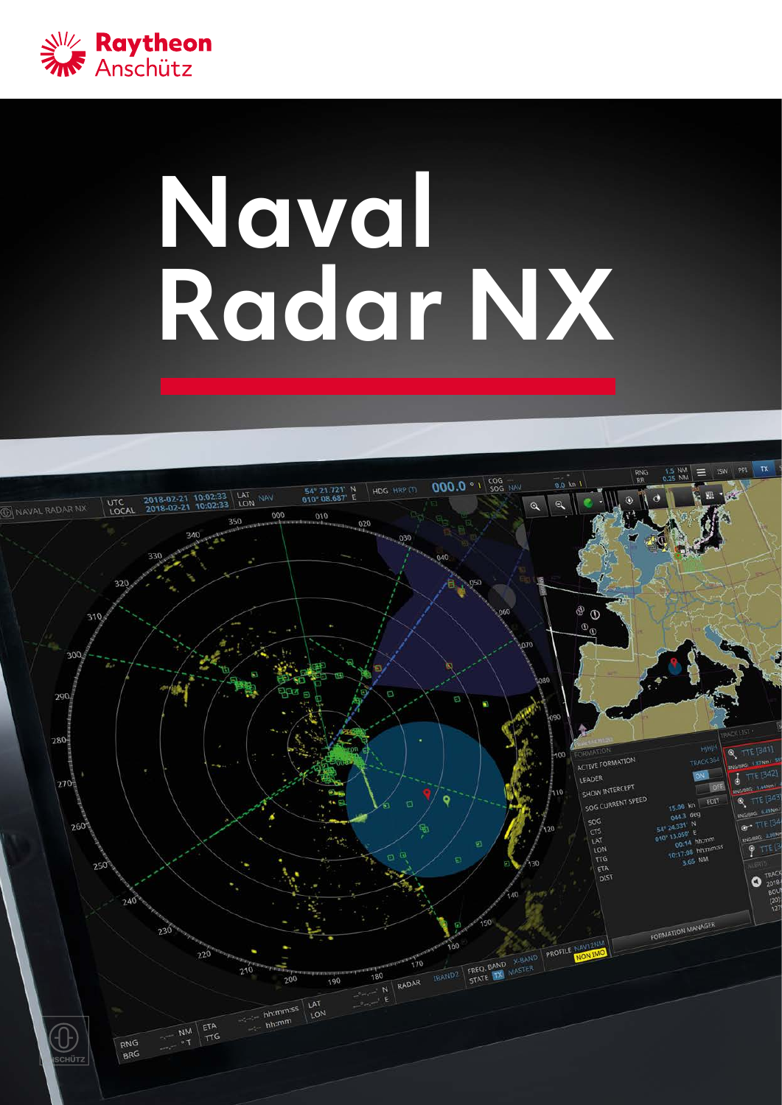

# **Naval Radar NX**

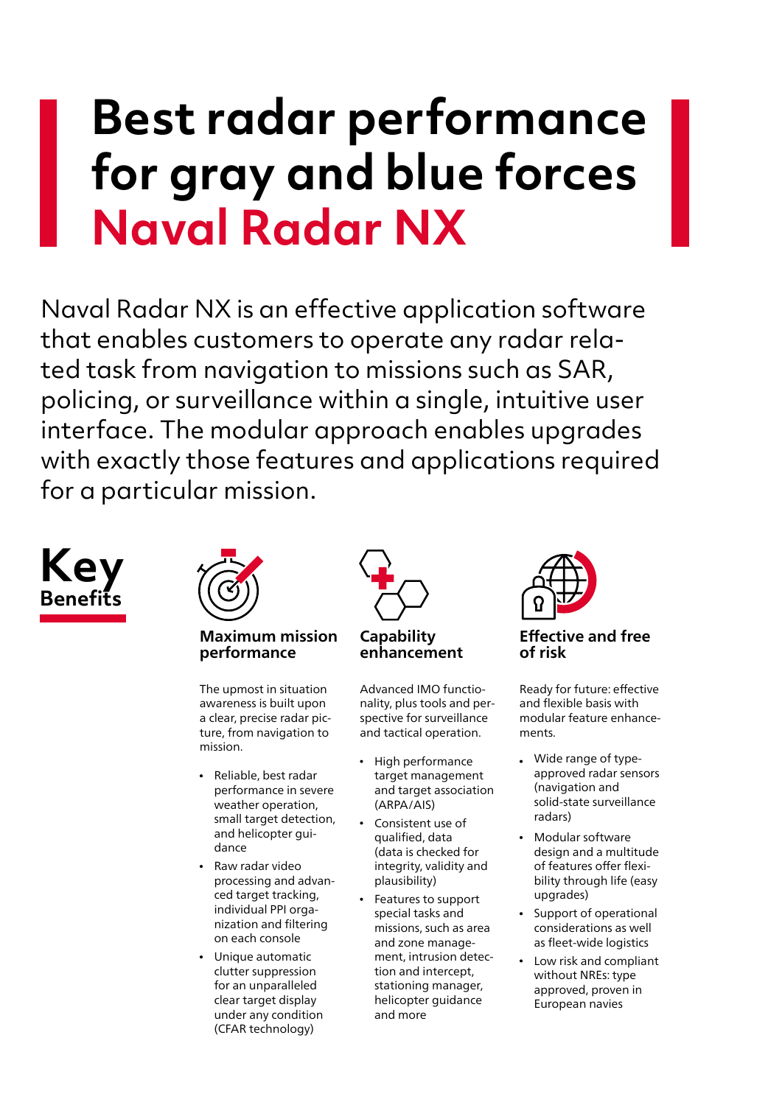# **Best radar performance for gray and blue forces Naval Radar NX**

Naval Radar NX is an effective application software that enables customers to operate any radar related task from navigation to missions such as SAR, policing, or surveillance within a single, intuitive user interface. The modular approach enables upgrades with exactly those features and applications required for a particular mission.





### **Maximum mission performance**

The upmost in situation awareness is built upon a clear, precise radar picture, from navigation to mission.

- Reliable, best radar performance in severe weather operation, small target detection, and helicopter guidance
- Raw radar video processing and advanced target tracking, individual PPI orga- nization and filtering on each console
- Unique automatic clutter suppression for an unparalleled clear target display under any condition (CFAR technology)



**Capability enhancement**

Advanced IMO functionality, plus tools and perspective for surveillance and tactical operation.

- $\bullet$ High performance target management and target association (ARPA/AIS)
- Consistent use of qualified, data (data is checked for integrity, validity and plausibility)
- Features to support special tasks and missions, such as area and zone management, intrusion detection and intercept, stationing manager, helicopter guidance and more



**Effective and free of risk**

Ready for future: effective and flexible basis with modular feature enhancements.

- Wide range of typeapproved radar sensors (navigation and solid-state surveillance radars)
- Modular software design and a multitude of features offer flexibility through life (easy upgrades)
- Support of operational considerations as well as fleet-wide logistics
- Low risk and compliant without NREs: type approved, proven in European navies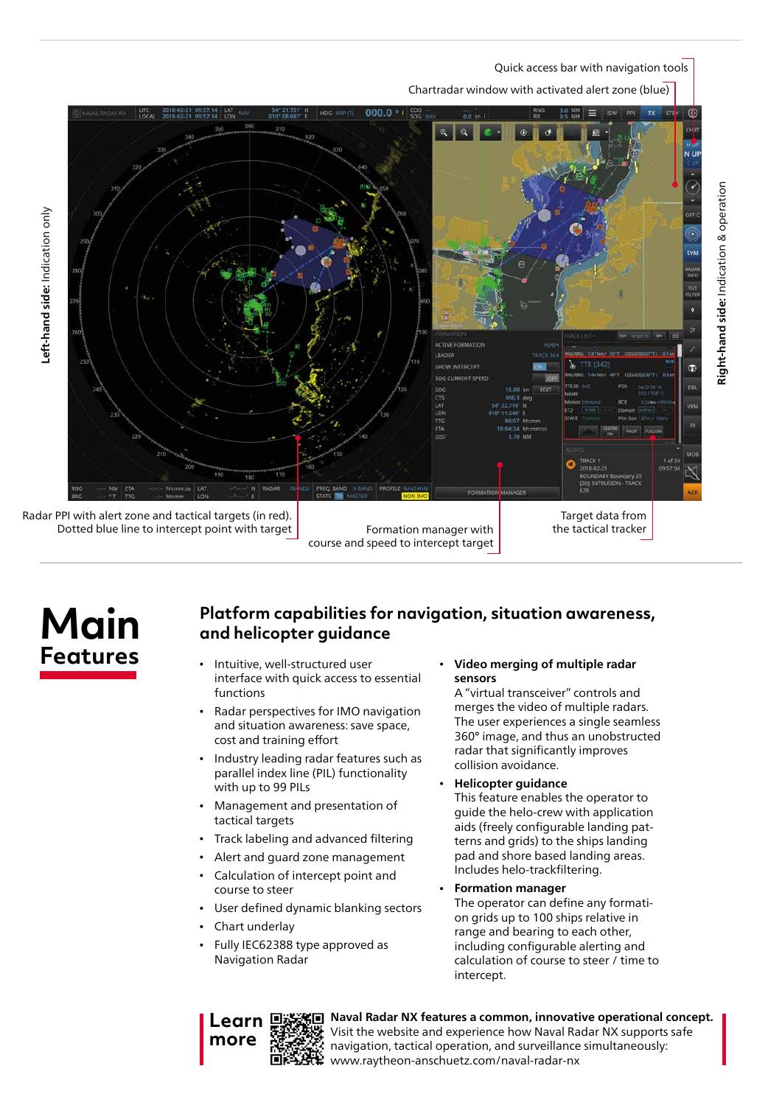Quick access bar with navigation tools

**Right-hand side:** Indication & operation

Right-hand side: Indication & operation

#### Chartradar window with activated alert zone (blue)



**Main Features**

## **Platform capabilities for navigation, situation awareness, and helicopter guidance**

- Intuitive, well-structured user interface with quick access to essential functions
- Radar perspectives for IMO navigation and situation awareness: save space, cost and training effort
- Industry leading radar features such as parallel index line (PIL) functionality with up to 99 PILs
- Management and presentation of tactical targets
- Track labeling and advanced filtering
- Alert and guard zone management
- Calculation of intercept point and course to steer
- User defined dynamic blanking sectors
- Chart underlay
- Fully IEC62388 type approved as Navigation Radar

**Video merging of multiple radar sensors**

A "virtual transceiver" controls and merges the video of multiple radars. The user experiences a single seamless 360° image, and thus an unobstructed radar that significantly improves collision avoidance.

- **Helicopter guidance** This feature enables the operator to guide the helo-crew with application aids (freely configurable landing patterns and grids) to the ships landing pad and shore based landing areas. Includes helo-trackfiltering.
- **Formation manager** The operator can define any formation grids up to 100 ships relative in range and bearing to each other, including configurable alerting and calculation of course to steer / time to intercept.

| 「大阪の地震」 |
|---------|
|         |
|         |

**Naval Radar NX features a common, innovative operational concept.** Visit the website and experience how Naval Radar NX supports safe navigation, tactical operation, and surveillance simultaneously: www.raytheon-anschuetz.com/naval-radar-nx